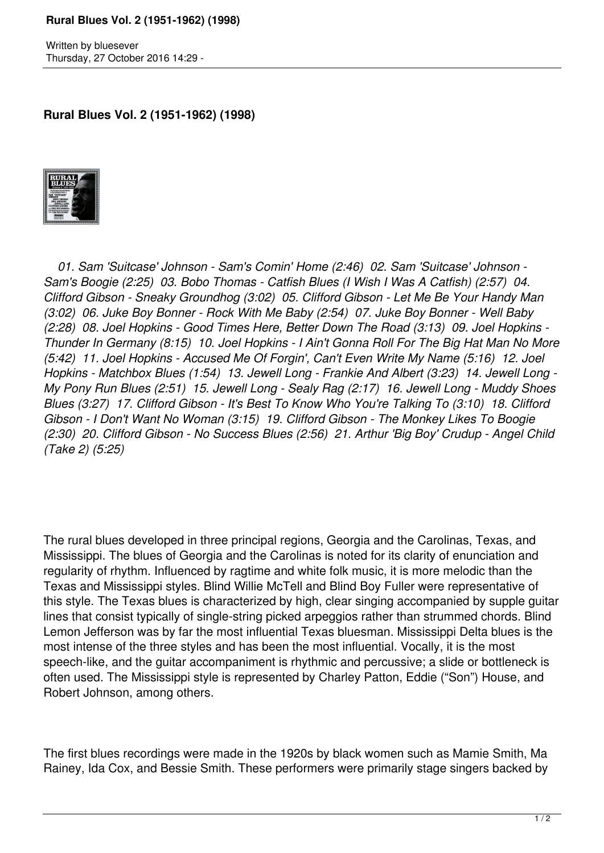## **Rural Blues Vol. 2 (1951-1962) (1998)**

Written by bluesever Thursday, 27 October 2016 14:29 -

**Rural Blues Vol. 2 (1951-1962) (1998)**



 *01. Sam 'Suitcase' Johnson - Sam's Comin' Home (2:46) 02. Sam 'Suitcase' Johnson - Sam's Boogie (2:25) 03. Bobo Thomas - Catfish Blues (I Wish I Was A Catfish) (2:57) 04. Clifford Gibson - Sneaky Groundhog (3:02) 05. Clifford Gibson - Let Me Be Your Handy Man (3:02) 06. Juke Boy Bonner - Rock With Me Baby (2:54) 07. Juke Boy Bonner - Well Baby (2:28) 08. Joel Hopkins - Good Times Here, Better Down The Road (3:13) 09. Joel Hopkins - Thunder In Germany (8:15) 10. Joel Hopkins - I Ain't Gonna Roll For The Big Hat Man No More (5:42) 11. Joel Hopkins - Accused Me Of Forgin', Can't Even Write My Name (5:16) 12. Joel Hopkins - Matchbox Blues (1:54) 13. Jewell Long - Frankie And Albert (3:23) 14. Jewell Long - My Pony Run Blues (2:51) 15. Jewell Long - Sealy Rag (2:17) 16. Jewell Long - Muddy Shoes Blues (3:27) 17. Clifford Gibson - It's Best To Know Who You're Talking To (3:10) 18. Clifford Gibson - I Don't Want No Woman (3:15) 19. Clifford Gibson - The Monkey Likes To Boogie (2:30) 20. Clifford Gibson - No Success Blues (2:56) 21. Arthur 'Big Boy' Crudup - Angel Child (Take 2) (5:25)* 

The rural blues developed in three principal regions, Georgia and the Carolinas, Texas, and Mississippi. The blues of Georgia and the Carolinas is noted for its clarity of enunciation and regularity of rhythm. Influenced by ragtime and white folk music, it is more melodic than the Texas and Mississippi styles. Blind Willie McTell and Blind Boy Fuller were representative of this style. The Texas blues is characterized by high, clear singing accompanied by supple guitar lines that consist typically of single-string picked arpeggios rather than strummed chords. Blind Lemon Jefferson was by far the most influential Texas bluesman. Mississippi Delta blues is the most intense of the three styles and has been the most influential. Vocally, it is the most speech-like, and the guitar accompaniment is rhythmic and percussive; a slide or bottleneck is often used. The Mississippi style is represented by Charley Patton, Eddie ("Son") House, and Robert Johnson, among others.

The first blues recordings were made in the 1920s by black women such as Mamie Smith, Ma Rainey, Ida Cox, and Bessie Smith. These performers were primarily stage singers backed by